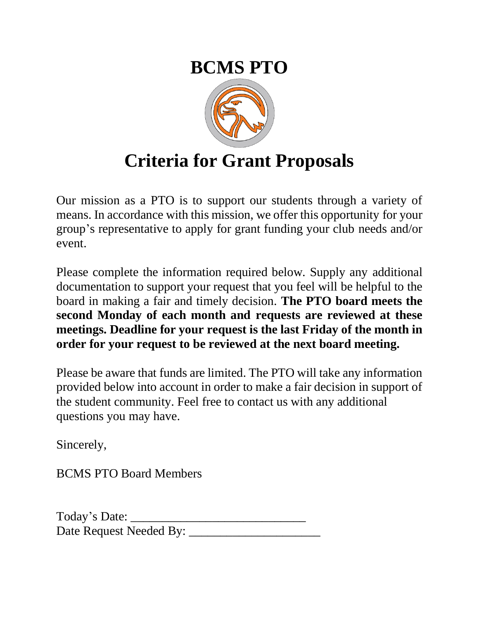## **BCMS PTO**



## **Criteria for Grant Proposals**

Our mission as a PTO is to support our students through a variety of means. In accordance with this mission, we offer this opportunity for your group's representative to apply for grant funding your club needs and/or event.

Please complete the information required below. Supply any additional documentation to support your request that you feel will be helpful to the board in making a fair and timely decision. **The PTO board meets the second Monday of each month and requests are reviewed at these meetings. Deadline for your request is the last Friday of the month in order for your request to be reviewed at the next board meeting.** 

Please be aware that funds are limited. The PTO will take any information provided below into account in order to make a fair decision in support of the student community. Feel free to contact us with any additional questions you may have.

Sincerely,

BCMS PTO Board Members

| Today's Date:           |  |
|-------------------------|--|
| Date Request Needed By: |  |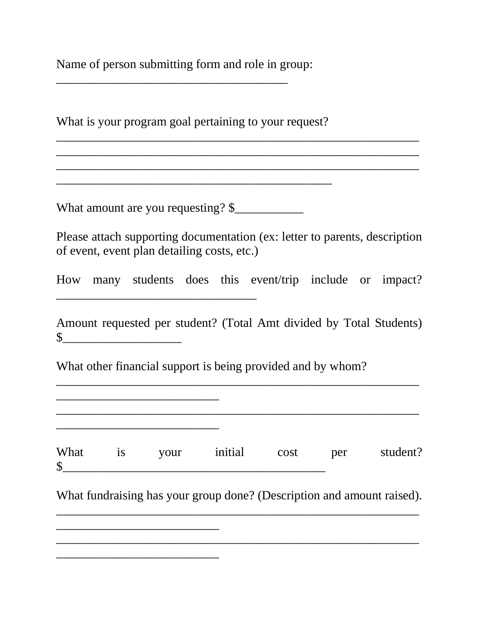Name of person submitting form and role in group:

\_\_\_\_\_\_\_\_\_\_\_\_\_\_\_\_\_\_\_\_\_\_\_\_\_\_\_\_\_\_\_\_\_\_\_\_\_

What is your program goal pertaining to your request?

\_\_\_\_\_\_\_\_\_\_\_\_\_\_\_\_\_\_\_\_\_\_\_\_\_\_\_\_\_\_\_\_\_\_\_\_\_\_\_\_\_\_\_\_

What amount are you requesting? \$

\_\_\_\_\_\_\_\_\_\_\_\_\_\_\_\_\_\_\_\_\_\_\_\_\_\_\_\_\_\_\_\_

\_\_\_\_\_\_\_\_\_\_\_\_\_\_\_\_\_\_\_\_\_\_\_\_\_\_

\_\_\_\_\_\_\_\_\_\_\_\_\_\_\_\_\_\_\_\_\_\_\_\_\_\_

\_\_\_\_\_\_\_\_\_\_\_\_\_\_\_\_\_\_\_\_\_\_\_\_\_\_

\_\_\_\_\_\_\_\_\_\_\_\_\_\_\_\_\_\_\_\_\_\_\_\_\_\_

Please attach supporting documentation (ex: letter to parents, description of event, event plan detailing costs, etc.)

\_\_\_\_\_\_\_\_\_\_\_\_\_\_\_\_\_\_\_\_\_\_\_\_\_\_\_\_\_\_\_\_\_\_\_\_\_\_\_\_\_\_\_\_\_\_\_\_\_\_\_\_\_\_\_\_\_\_ \_\_\_\_\_\_\_\_\_\_\_\_\_\_\_\_\_\_\_\_\_\_\_\_\_\_\_\_\_\_\_\_\_\_\_\_\_\_\_\_\_\_\_\_\_\_\_\_\_\_\_\_\_\_\_\_\_\_

 $\mathcal{L}_\text{max} = \mathcal{L}_\text{max} = \mathcal{L}_\text{max} = \mathcal{L}_\text{max} = \mathcal{L}_\text{max} = \mathcal{L}_\text{max} = \mathcal{L}_\text{max} = \mathcal{L}_\text{max} = \mathcal{L}_\text{max} = \mathcal{L}_\text{max} = \mathcal{L}_\text{max} = \mathcal{L}_\text{max} = \mathcal{L}_\text{max} = \mathcal{L}_\text{max} = \mathcal{L}_\text{max} = \mathcal{L}_\text{max} = \mathcal{L}_\text{max} = \mathcal{L}_\text{max} = \mathcal{$ 

How many students does this event/trip include or impact?

Amount requested per student? (Total Amt divided by Total Students)  $\frac{1}{2}$ 

\_\_\_\_\_\_\_\_\_\_\_\_\_\_\_\_\_\_\_\_\_\_\_\_\_\_\_\_\_\_\_\_\_\_\_\_\_\_\_\_\_\_\_\_\_\_\_\_\_\_\_\_\_\_\_\_\_\_

\_\_\_\_\_\_\_\_\_\_\_\_\_\_\_\_\_\_\_\_\_\_\_\_\_\_\_\_\_\_\_\_\_\_\_\_\_\_\_\_\_\_\_\_\_\_\_\_\_\_\_\_\_\_\_\_\_\_

What other financial support is being provided and by whom?

 $\frac{\sqrt{2}}{2}$ 

What fundraising has your group done? (Description and amount raised). \_\_\_\_\_\_\_\_\_\_\_\_\_\_\_\_\_\_\_\_\_\_\_\_\_\_\_\_\_\_\_\_\_\_\_\_\_\_\_\_\_\_\_\_\_\_\_\_\_\_\_\_\_\_\_\_\_\_

\_\_\_\_\_\_\_\_\_\_\_\_\_\_\_\_\_\_\_\_\_\_\_\_\_\_\_\_\_\_\_\_\_\_\_\_\_\_\_\_\_\_\_\_\_\_\_\_\_\_\_\_\_\_\_\_\_\_

What is your initial cost per student?